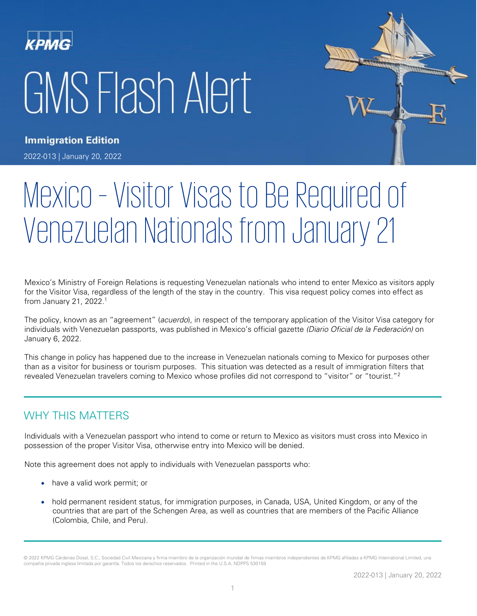# GMS Flash Alert



**Immigration Edition** 

2022-013 | January 20, 2022

# Mexico – Visitor Visas to Be Required of Venezuelan Nationals from January 21

Mexico's Ministry of Foreign Relations is requesting Venezuelan nationals who intend to enter Mexico as visitors apply for the Visitor Visa, regardless of the length of the stay in the country. This visa request policy comes into effect as from January 21, 2022. 1

The policy, known as an "agreement" (*acuerdo*), in respect of the temporary application of the Visitor Visa category for individuals with Venezuelan passports, was published in Mexico's official gazette (Diario Oficial de la Federación) on January 6, 2022.

This change in policy has happened due to the increase in Venezuelan nationals coming to Mexico for purposes other than as a visitor for business or tourism purposes. This situation was detected as a result of immigration filters that revealed Venezuelan travelers coming to Mexico whose profiles did not correspond to "visitor" or "tourist."<sup>2</sup>

# WHY THIS MATTERS

Individuals with a Venezuelan passport who intend to come or return to Mexico as visitors must cross into Mexico in possession of the proper Visitor Visa, otherwise entry into Mexico will be denied.

Note this agreement does not apply to individuals with Venezuelan passports who:

- have a valid work permit; or
- hold permanent resident status, for immigration purposes, in Canada, USA, United Kingdom, or any of the countries that are part of the Schengen Area, as well as countries that are members of the Pacific Alliance (Colombia, Chile, and Peru).

<sup>© 2022</sup> KPMG Cárdenas Dosal, S.C., Sociedad Civil Mexicana y firma miembro de la organización mundial de firmas miembros independientes de KPMG afiliadas a KPMG International Limited, una compañía privada inglesa limitada por garantía. Todos los derechos reservados. Printed in the U.S.A. NDPPS 530159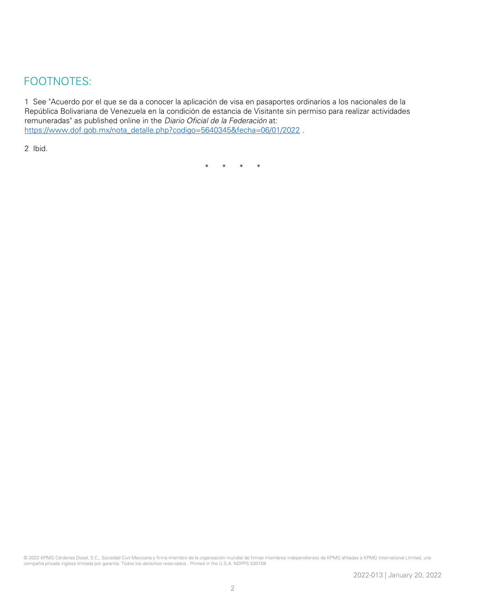## FOOTNOTES:

1 See "Acuerdo por el que se da a conocer la aplicación de visa en pasaportes ordinarios a los nacionales de la República Bolivariana de Venezuela en la condición de estancia de Visitante sin permiso para realizar actividades remuneradas" as published online in the Diario Oficial de la Federación at: [https://www.dof.gob.mx/nota\\_detalle.php?codigo=5640345&fecha=06/01/2022](https://www.dof.gob.mx/nota_detalle.php?codigo=5640345&fecha=06/01/2022%20.) .

2 Ibid.

\* \* \* \*

© 2022 KPMG Cárdenas Dosal, S.C., Sociedad Civil Mexicana y firma miembro de la organización mundial de firmas miembros independientes de KPMG afiliadas a KPMG International Limited, una compañía privada inglesa limitada por garantía. Todos los derechos reservados. Printed in the U.S.A. NDPPS 530159